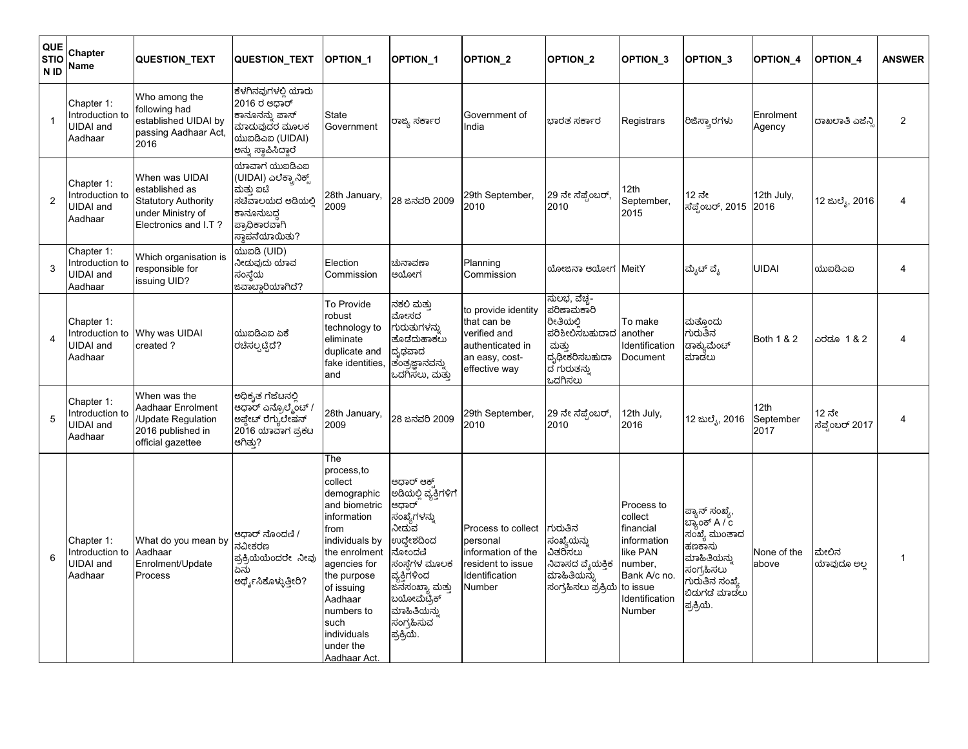| QUE<br><b>STIO</b><br>N <sub>ID</sub> | Chapter<br>Name                                              | QUESTION_TEXT                                                                                               | QUESTION_TEXT                                                                                                           | <b>OPTION 1</b>                                                                                                                                                                                                                                  | <b>OPTION 1</b>                                                                                                                                                                                                         | <b>OPTION 2</b>                                                                                           | <b>OPTION 2</b>                                                                                               | OPTION <sub>_3</sub>                                                                                                             | OPTION_3                                                                                                                                 | OPTION_4                  | <b>OPTION 4</b>          | <b>ANSWER</b>  |
|---------------------------------------|--------------------------------------------------------------|-------------------------------------------------------------------------------------------------------------|-------------------------------------------------------------------------------------------------------------------------|--------------------------------------------------------------------------------------------------------------------------------------------------------------------------------------------------------------------------------------------------|-------------------------------------------------------------------------------------------------------------------------------------------------------------------------------------------------------------------------|-----------------------------------------------------------------------------------------------------------|---------------------------------------------------------------------------------------------------------------|----------------------------------------------------------------------------------------------------------------------------------|------------------------------------------------------------------------------------------------------------------------------------------|---------------------------|--------------------------|----------------|
| -1                                    | Chapter 1:<br>Introduction to<br><b>JIDAI</b> and<br>Aadhaar | Who among the<br>following had<br>established UIDAI by<br>passing Aadhaar Act,<br>2016                      | ಕೆಳಗಿನವುಗಳಲಿ ಯಾರು<br>2016 ರ ಆಧಾರ್<br>ಕಾನೂನನ್ನು ಪಾಸ್<br>ಮಾಡುವುದರ ಮೂಲಕ<br>ಯುಐಡಿಎಐ (UIDAI)<br>ಅನ್ನು ಸ್ಥಾಪಿಸಿದ್ದಾರೆ         | State<br>Government                                                                                                                                                                                                                              | ರಾಜ್ಯ ಸ <mark>ರ್ಕಾ</mark> ರ                                                                                                                                                                                             | Government of<br>India                                                                                    | ಬಾರತ ಸರ್ಕಾರ                                                                                                   | Registrars                                                                                                                       | ರಿಜಿಸ್ತ್ರಾರಗಳು                                                                                                                           | Enrolment<br>Agency       | ದಾಖಲಾತಿ ಎಜೆನಿ            | $\overline{2}$ |
| $\overline{2}$                        | Chapter 1:<br>ntroduction to<br><b>JIDAI</b> and<br>Aadhaar  | When was UIDAI<br>established as<br><b>Statutory Authority</b><br>under Ministry of<br>Electronics and I.T? | ಯಾವಾಗ ಯುಐಡಿಎಐ<br>(UIDAI) ಎಲೆಕ್ಟ್ರಾನಿಕ್ಸ್<br>ಮತ್ತು ಐಟಿ<br>ಸಚೆವಾಲಯದ ಅಡಿಯಲಿ<br>ಕಾನೂನುಬದ<br>ಪ್ರಾಧಿಕಾರವಾಗಿ<br>ಸ್ಥಾಪನೆಯಾಯಿತು? | 28th January,<br>2009                                                                                                                                                                                                                            | 28 ಜನವರಿ 2009                                                                                                                                                                                                           | 29th September,<br>2010                                                                                   | 29 ನೇ ಸೆಪ್ಟೆಂಬರ್,<br>2010                                                                                     | 12th<br>September,<br>2015                                                                                                       | 12 ನೇ<br>ಸೆಪ್ಪೆಂಬರ್, 2015  2016                                                                                                          | 12th July,                | 12 ಜುಲ್ಯೆ, 2016          | 4              |
| 3                                     | Chapter 1:<br>Introduction to<br><b>JIDAI</b> and<br>Aadhaar | Which organisation is<br>responsible for<br>issuing UID?                                                    | ಯುಐයි (UID)<br>ನೀಡುವುದು ಯಾವ<br>ಸಂಸ್ಥೆಯ<br>ಜವಾಬ್ದಾರಿಯಾಗಿದೆ?                                                              | Election<br>Commission                                                                                                                                                                                                                           | ಚುನಾವಣಾ<br>ಆಯೋಗ                                                                                                                                                                                                         | Planning<br>Commission                                                                                    | ಯೋಜನಾ ಆಯೋಗ                                                                                                    | MeitY                                                                                                                            | ಮೈಟ್ ವೈ                                                                                                                                  | <b>UIDAI</b>              | ಯುಐದಿಎಐ                  | 4              |
| $\overline{4}$                        | Chapter 1:<br>ntroduction to<br>JIDAI and<br>Aadhaar         | Why was UIDAI<br>created?                                                                                   | ಯುಐದಿಎಐ ಏಕೆ<br>ರಚಿಸಲ್ಪಟ್ಟಿದೆ?                                                                                           | To Provide<br>robust<br>technology to<br>eliminate<br>duplicate and<br>fake identities.<br>and                                                                                                                                                   | ನಕಲಿ ಮತು<br>ಮೋಸದ<br>ಗುರುತುಗಳನ್ನು<br>ತೊಡೆದುಹಾಕಲು<br>ದೃಢವಾದ<br>ತಂತ್ರಜ್ಞಾನವನ್ನು<br>ಒದಗಿಸಲು, ಮತ್ತು                                                                                                                          | to provide identity<br>that can be<br>verified and<br>authenticated in<br>an easy, cost-<br>effective way | ಸುಲಭ, ವೆಚ್ಚ-<br>ಪರಿಣಾಮಕಾರಿ<br>ರೀತಿಯಲ್ಲಿ<br>ಪರಿಶೀಲಿಸಬಹುದಾದ<br>ಮತು<br>ದೃಢೀಕರಿಸಬಹುದಾ<br>ದ ಗುರುತನ್ನು<br>ಒದಗಿಸಲು   | To make<br>another<br>Identification<br>Document                                                                                 | ಮತ್ತೊಂದು<br>ಗುರುತಿನ<br>ಡಾಕ್ಯುಮೆಂ <mark>ಚ್</mark><br>ಮಾಡಲು                                                                                | Both 1 & 2                | ಎರಡೂ 1 & 2               | $\overline{4}$ |
| 5                                     | Chapter 1:<br>ntroduction to<br><b>JIDAI</b> and<br>Aadhaar  | When was the<br>Aadhaar Enrolment<br>Update Regulation<br>2016 published in<br>official gazettee            | ಅಧಿಕೃತ ಗೆಜೆಟನಲ್ಲಿ<br>ಆಧಾರ್ ಎನ್ರೊಲ್ಮೆಂಚ್ ,<br>ಅಪ್ಡೇಟ್ ರೆಗ್ಯುಲೇಷನ್<br> 2016 ಯಾವಾಗ ಪ್ರಕಟ<br>ಆಗಿತು?                         | 28th January,<br>2009                                                                                                                                                                                                                            | 28 ಜನವರಿ 2009                                                                                                                                                                                                           | 29th September,<br>2010                                                                                   | 29 ನೇ ಸೆಪ್ಪೆಂಬರ್,<br>2010                                                                                     | 12th July,<br>2016                                                                                                               | 12 ಜುಲ್ಯೆ, 2016                                                                                                                          | 12th<br>September<br>2017 | 12 ನೇ<br>ಸೆಪ್ಟೆಂಬರ್ 2017 | 4              |
| 6                                     | Chapter 1:<br>ntroduction to<br><b>JIDAI</b> and<br>Aadhaar  | What do you mean by<br>Aadhaar<br>Enrolment/Update<br>Process                                               | ಆಧಾರ್ ನೊಂದಣಿ /<br>ನವೀಕರಣ<br>ಪ್ರಕ್ರಿಯೆಯೆಂದರೇ ನೀವು<br>ಏನು<br>ಅರ್ಥೈಸಿಕೊಳ್ಳುತ್ತೀರಿ?                                         | The<br>process,to<br>collect<br>demographic<br>and biometric<br>information<br>from<br>individuals by<br>the enrolment<br>agencies for<br>the purpose<br>of issuing<br>Aadhaar<br>numbers to<br>such<br>individuals<br>under the<br>Aadhaar Act. | ಆಧಾರ್ ಆಕ್<br>ಅಡಿಯಲ್ಲಿ ವ್ಯಕ್ತಿಗಳಿಗೆ<br>ಆಧಾರ್<br>ಸಂಖ್ಯೆಗಳ <mark>ನ್ನು</mark><br>ನೀದುವ<br>ಉದ್ದೇಶದಿಂದ<br>ನೋಂದಣಿ<br>ಸಂಸ್ಥೆಗಳ ಮೂಲಕ<br>ವ್ಯಕ್ತಿಗಳಿಂದ<br>ಜನಸಂಖ್ಯಾ ಮತ್ತು<br>ಬಯೋಮೆಟ್ರಿಕ್<br>ಮಾಹಿತಿಯನ್ನು<br>ಸಂಗ್ರಹಿಸುವ<br>ಪ್ರಕ್ರಿಯೆ. | Process to collect<br>personal<br>information of the<br>resident to issue<br>Identification<br>Number     | ಗುರುತಿನ<br>ಸಂಖ್ಯ <mark>ೆ</mark> ಯನ್ನು<br>ವಿತರಿಸಲು<br>ನಿವಾಸದ ವ್ಯೆಯಕ್ತಿಕ<br>ಮಾಹಿತಿಯನ್ನು<br>ಸಂಗ್ರಹಿಸಲು ಪ್ರಕ್ರಿಯೆ | Process to<br>collect<br>financial<br>information<br>like PAN<br>number.<br>Bank A/c no.<br>to issue<br>Identification<br>Number | ಪ್ಯಾನ್ ಸಂಖ್ಯೆ,<br>ಬ್ಯಾಂಕ್ A / c<br>ಸಂಖ್ಯೆ ಮುಂತಾದ<br>ಹಣಕಾಸು<br>ಮಾಹಿತಿಯನ್ನು<br>ಸಂಗ್ರಹಿಸಲು<br>ಗುರುತಿನ ಸಂಖ್ಯೆ<br>ಬಿಡುಗಡೆ ಮಾಡಲು<br>ಪ್ರಕ್ರಿಯೆ. | None of the<br>above      | ಮೇಲಿನ<br>ಯಾವುದೂ ಅಲ       | 1              |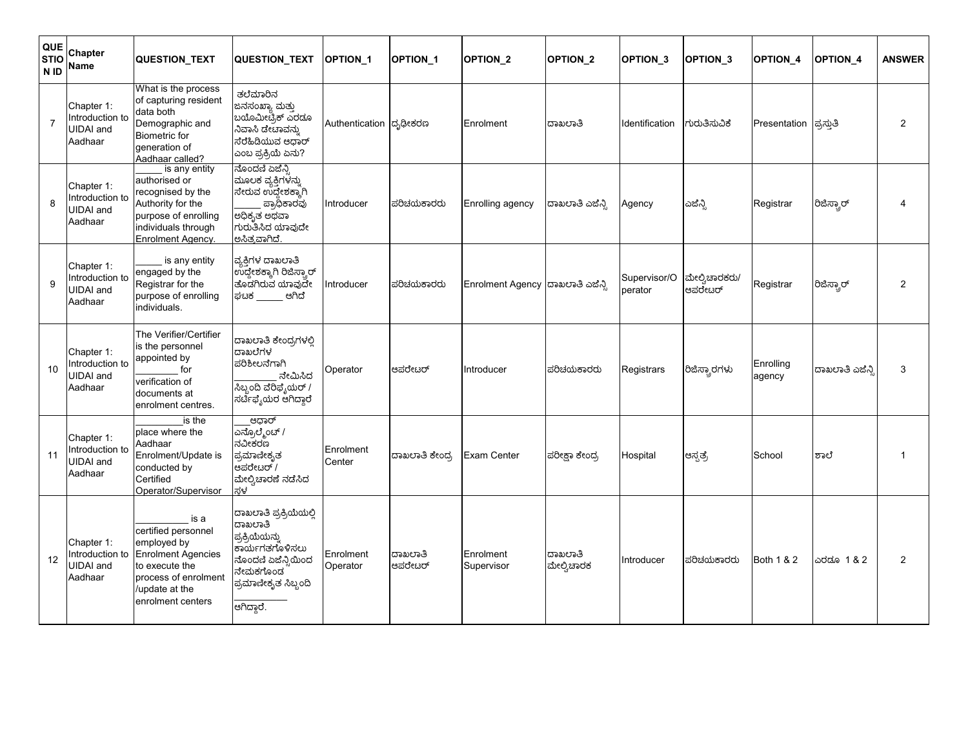| QUE<br><b>STIO</b><br>N <sub>ID</sub> | Chapter<br>Name                                              | QUESTION_TEXT                                                                                                                                            | <b>QUESTION TEXT</b>                                                                                                                         | <b>OPTION 1</b>         | OPTION <sub>1</sub> | OPTION_2                          | OPTION <sub>_2</sub>  | OPTION <sub>3</sub>     | <b>OPTION 3</b>           | OPTION_4               | <b>OPTION 4</b> | <b>ANSWER</b>         |
|---------------------------------------|--------------------------------------------------------------|----------------------------------------------------------------------------------------------------------------------------------------------------------|----------------------------------------------------------------------------------------------------------------------------------------------|-------------------------|---------------------|-----------------------------------|-----------------------|-------------------------|---------------------------|------------------------|-----------------|-----------------------|
| $\overline{7}$                        | Chapter 1:<br>Introduction to<br><b>UIDAI</b> and<br>Aadhaar | What is the process<br>of capturing resident<br>data both<br>Demographic and<br><b>Biometric</b> for<br>generation of<br>Aadhaar called?                 | ತಲೆಮಾರಿನ<br>ಜನಸಂಖ್ಯಾ ಮತ್ತು<br>ಬಯೊಮೀಟೈಕ್ ಎರಡೂ<br>ನಿವಾಸಿ ಡೇಟಾವನ್ನು<br>ಸೆರೆಹಿಡಿಯುವ ಆಧಾರ್<br>ಎಂಬ ಪ್ರಕ್ರಿಯೆ ಏನು?                                  | Authentication ದ್ಭಢೀಕರಣ |                     | Enrolment                         | ದಾಖಲಾತಿ               | Identification          | ಗುರುತಿಸುವಿಕೆ              | Presentation ಪ್ರಸ್ತುತಿ |                 | $\overline{2}$        |
| 8                                     | Chapter 1:<br>Introduction to<br><b>JIDAI</b> and<br>Aadhaar | is any entity<br>authorised or<br>recognised by the<br>Authority for the<br>purpose of enrolling<br>individuals through<br>Enrolment Agency.             | ನೊಂದಣಿ ಏಜೆನ್ಸಿ<br>ಮೂಲಕ ವ್ಯಕ್ತಿಗಳನ್ನು<br>ಸೇರುವ ಉದ್ದೇಶಕ್ಕಾಗಿ<br>ಪ್ರಾಧಿಕಾರವು<br>ಅಧಿಕೃತ ಅಥವಾ<br>ಗುರುತಿಸಿದ ಯಾವುದೇ<br>ಅಸಿತ್ರವಾಗಿದೆ.                | Introducer              | ಪರಿಚಯಕಾರರು          | Enrolling agency                  | ದಾಖಲಾತಿ ಎಜೆನ್ಸಿ       | Agency                  | ಎಜೆನ್ಸಿ                   | Registrar              | ರಿಜಿಸ್ಟಾರ್      | $\boldsymbol{\Delta}$ |
| 9                                     | Chapter 1:<br>Introduction to<br><b>UIDAI</b> and<br>Aadhaar | is any entity<br>engaged by the<br>Registrar for the<br>purpose of enrolling<br>individuals.                                                             | ವ್ಯಕ್ತಿಗಳ ದಾಖಲಾತಿ<br>ಉದ್ದೇಶಕ್ಕಾಗಿ ರಿಜಿಸ್ಟಾರ್<br>ತೊಡಗಿರುವ ಯಾವುದೇ<br>ಘಟಕ _______ ಆಗಿದೆ                                                         | Introducer              | ಪರಿಚಯಕಾರರು          | Enrolment Agency  ದಾಖಲಾತಿ ಎಜೆನ್ಸಿ |                       | Supervisor/O<br>perator | ಮೇಲ್ವಿಚಾರಕರು/<br> ಆಪರೇಟರ್ | Registrar              | ರಿಜಿಸ್ಟಾರ್      | 2                     |
| 10                                    | Chapter 1:<br>Introduction to<br><b>JIDAI</b> and<br>Aadhaar | The Verifier/Certifier<br>is the personnel<br>appointed by<br>for<br>verification of<br>documents at<br>enrolment centres.                               | ದಾಖಲಾತಿ ಕೇಂದ್ರಗಳಲ್ಲಿ<br>ದಾಖಲೆಗಳ<br>ಪರಿಶೀಲನೆಗಾಗಿ<br>ನೇಮಿಸಿದ<br><mark>ಸಿಬ್ಬಂದಿ ವೆರಿ</mark> ಫೈಯರ್ /<br>ಸರ್ಟಿಫೈಯರ ಆಗಿದ್ದಾರೆ                      | Operator                | ಆಪರೇಟರ್             | Introducer                        | ಪರಿಚಯಕಾರರು            | Registrars              | ರಿಜಿಸ್ಟಾರಗಳು              | Enrolling<br>agency    | ದಾಖಲಾತಿ ಎಜೆನ್ಸಿ | 3                     |
| 11                                    | Chapter 1:<br>ntroduction to<br><b>JIDAI</b> and<br>Aadhaar  | is the<br>place where the<br>Aadhaar<br>Enrolment/Update is<br>conducted by<br>Certified<br>Operator/Supervisor                                          | ಆಧಾರ್<br>ಎನ್ರೊಲ್ಮೆಂಟ್ /<br>ನವೀಕರಣ<br>ಪ್ರಮಾಣೀಕೃತ<br>ಆಪರೇಟರ್ /<br>ಮೇಲ್ವಿಚಾರಣೆ ನಡೆಸಿದ<br>ಸಳ                                                     | Enrolment<br>Center     | ದಾಖಲಾತಿ ಕೇಂದ್ರ      | Exam Center                       | ಪರೀಕ್ಷಾ ಕೇಂದ್ರ        | Hospital                | ಆಸ್ಪತ್ರೆ                  | School                 | ಶಾಲೆ            |                       |
| 12                                    | Chapter 1:<br>ntroduction to<br><b>JIDAI</b> and<br>Aadhaar  | is a<br>certified personnel<br>employed by<br><b>Enrolment Agencies</b><br>to execute the<br>process of enrolment<br>/update at the<br>enrolment centers | ದಾಖಲಾತಿ ಪ್ರಕ್ರಿಯೆಯಲ್ಲಿ<br>ದಾಖಲಾತಿ<br>ಪ್ರಕ್ರಿಯೆಯನ್ನು<br>ಕಾರ್ಯಗತಗೊಳಿಸಲು<br>ನೊಂದಣಿ ಏಜೆನ್ಸಿಯಿಂದ<br>ನೇಮಕಗೊಂಡ<br>ಪ್ರಮಾಣೀಕೃತ ಸಿಬ್ಬಂದಿ<br>ಆಗಿದ್ದಾರೆ. | Enrolment<br>Operator   | ದಾಖಲಾತಿ<br>ಆಪರೇಟರ್  | Enrolment<br>Supervisor           | ದಾಖಲಾತಿ<br>ಮೇಲ್ವಿಚಾರಕ | Introducer              | ಪರಿಚಯಕಾರರು                | <b>Both 1 &amp; 2</b>  | ಎರಡೂ 1 & 2      | $\overline{2}$        |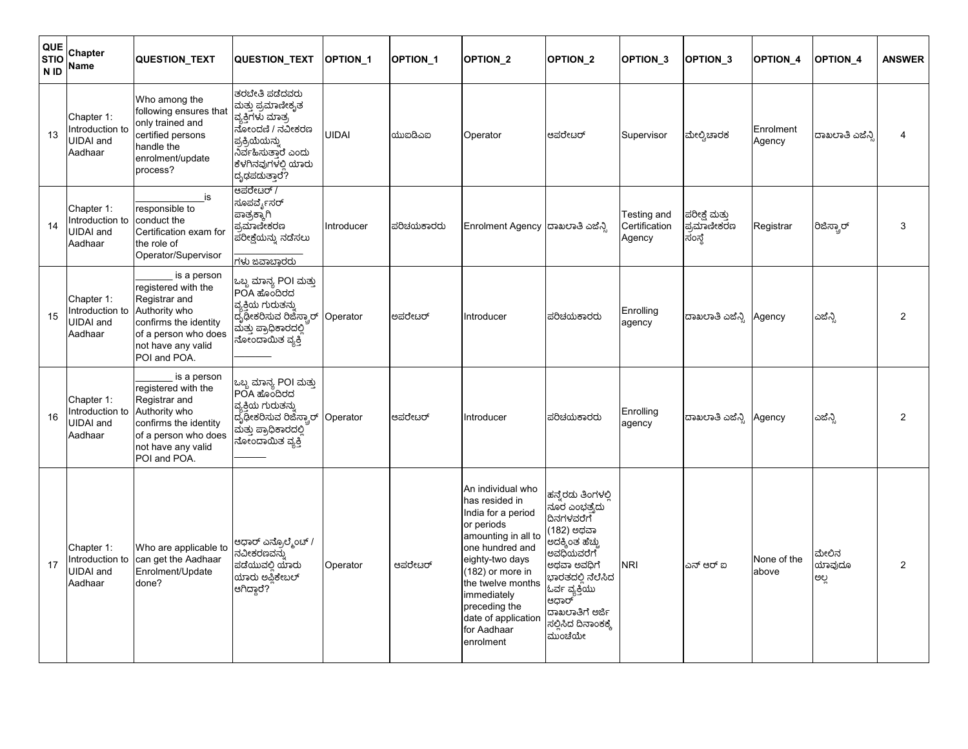| <b>QUE</b><br><b>STIO</b><br>N <sub>ID</sub> | Chapter<br>Name                                              | QUESTION_TEXT                                                                                                                                               | <b>QUESTION TEXT</b>                                                                                                                                                 | <b>OPTION 1</b> | <b>OPTION 1</b> | <b>OPTION 2</b>                                                                                                                                                                                                                                                  | <b>OPTION 2</b>                                                                                                                                                                                                 | OPTION <sub>_3</sub>                   | OPTION_3                              | OPTION_4             | <b>OPTION 4</b>         | <b>ANSWER</b>  |
|----------------------------------------------|--------------------------------------------------------------|-------------------------------------------------------------------------------------------------------------------------------------------------------------|----------------------------------------------------------------------------------------------------------------------------------------------------------------------|-----------------|-----------------|------------------------------------------------------------------------------------------------------------------------------------------------------------------------------------------------------------------------------------------------------------------|-----------------------------------------------------------------------------------------------------------------------------------------------------------------------------------------------------------------|----------------------------------------|---------------------------------------|----------------------|-------------------------|----------------|
| 13                                           | Chapter 1:<br>Introduction to<br>JIDAI and<br>Aadhaar        | Who among the<br>following ensures that<br>only trained and<br>certified persons<br>handle the<br>enrolment/update<br>process?                              | ತರಬೇತಿ ಪಡೆದವರು<br>ಮತ್ತು ಪ್ರ <mark>ಮಾಣೀಕೃತ</mark><br>ವ್ಯಕ್ತಿಗಳು ಮಾತ್ರ<br>ನೋಂದಣಿ / ನವೀಕರಣ<br>ಪ್ರಕ್ರಿಯೆಯನ್ನು<br>ನಿರ್ವಹಿಸುತಾರ ಎಂದು<br>ಕೆಳಗಿನವುಗಳಲಿ ಯಾರು<br>ದೃಢಪದುತ್ತಾರೆ? | <b>UIDAI</b>    | ಯುಐದಿಎಐ         | Operator                                                                                                                                                                                                                                                         | ಆಪರೇಟರ್                                                                                                                                                                                                         | Supervisor                             | ಮೇಲ್ವಿಚಾರಕ                            | Enrolment<br>Agency  | ದಾಖಲಾತಿ ಎಜೆನ್ಸಿ         | 4              |
| 14                                           | Chapter 1:<br>Introduction to<br><b>UIDAI</b> and<br>Aadhaar | is<br>responsible to<br>conduct the<br>Certification exam for<br>the role of<br>Operator/Supervisor                                                         | ಆಪರೇಟರ್ /<br>ಸೂಪರ್ವೈಸರ <mark>್</mark><br>ಪಾತ್ರಕ್ಕಾಗಿ<br>ಪ್ರಮಾಣೀಕರಣ<br>ಪರೀಕ್ಷೆಯನ್ನು ನಡೆಸಲು<br>ಗಳು ಜವಾಬಾರರು                                                            | Introducer      | ಪರಿಚಯಕಾರರು      | Enrolment Agency  ದಾಖಲಾತಿ ಎಜೆನ್ಸಿ                                                                                                                                                                                                                                |                                                                                                                                                                                                                 | Testing and<br>Certification<br>Agency | ಪರೀಕ್ಷೆ ಮತ್ತು<br>ಪ್ರಮಾಣೀಕರಣ<br>ಸಂಸ್ಥೆ | Registrar            | ರಿಜಿಸ್ಟಾರ್              | 3              |
| 15                                           | Chapter 1:<br>ntroduction to<br>UIDAI and<br>Aadhaar         | is a person<br>registered with the<br>Registrar and<br>Authority who<br>confirms the identity<br>of a person who does<br>not have any valid<br>POI and POA. | ಒಬ್ಬ ಮಾನ್ಯ POI ಮತ್ತು<br>POA ಹೊಂದಿರದ<br>ವ್ಯಕ್ತಿಯ ಗುರುತನ್ನು<br>ದ್ಸಢೀಕರಿಸುವ ರಿಜೆಸ್ಟಾರ್ Operator<br>ಮತ್ತು ಪ್ರಾಧಿಕಾರದಲ್ಲಿ<br>ನೋಂದಾಯಿತ ವ್ಯಕ್ತಿ                             |                 | ಅಪರೇಟರ್         | Introducer                                                                                                                                                                                                                                                       | ಪರಿಚಯಕಾರರು                                                                                                                                                                                                      | Enrolling<br>agency                    | ದಾಖಲಾತಿ ಎಜೆನ್ಸಿ                       | Agency               | ಎಜೆನ್ಸಿ                 | 2              |
| 16                                           | Chapter 1:<br>ntroduction to<br><b>JIDAI</b> and<br>Aadhaar  | is a person<br>registered with the<br>Registrar and<br>Authority who<br>confirms the identity<br>of a person who does<br>not have any valid<br>POI and POA. | ಒಬ್ಬ ಮಾನ್ಯ POI ಮತ್ತು<br>POA ಹೊಂದಿರದ<br>ವ್ಯಕ್ತಿಯ ಗುರುತನ್ನು<br>ದ್ಯಢೀಕರಿಸುವ ರಿಜೆಸ್ಮಾರ್ Operator<br>ಮತ್ತು ಪ್ರಾಧಿಕಾರದಲ್ಲಿ<br>ನೋಂದಾಯಿತ ವ್ಯಕ್ತಿ                             |                 | ಆಪರೇಟರ್         | Introducer                                                                                                                                                                                                                                                       | ಪರಿಚಯಕಾರರು                                                                                                                                                                                                      | Enrolling<br>agency                    | ದಾಖಲಾತಿ ಎಜೆನ್ಸಿ                       | Agency               | ಎಜೆನ್ಸಿ                 | 2              |
| 17                                           | Chapter 1:<br>Introduction to<br>UIDAI and<br>Aadhaar        | Who are applicable to<br>can get the Aadhaar<br>Enrolment/Update<br>done?                                                                                   | ಆಧಾರ್ ಎನ್ರೊಲ್ಮೆಂ <mark>ಟ್ /</mark><br>ನವೀಕರಣವನ್ನು<br>ಪಡೆಯುವಲಿ ಯಾರು<br>ಯಾರು ಅಪಿಕೇಬಲ್<br>ಆಗಿದ್ದಾರೆ?                                                                    | Operator        | ಆಪರೇಟರ್         | An individual who<br>has resided in<br>India for a period<br>or periods<br>amounting in all to<br>one hundred and<br>eighty-two days<br>(182) or more in<br>the twelve months<br>immediately<br>preceding the<br>date of application<br>for Aadhaar<br>enrolment | ಹನ್ರೆರದು ತಿಂಗಳಲಿ<br>ನೂರ ಎಂಭತ್ಯದು<br>ದಿನಗಳವರೆಗೆ<br>(182) ಅಥವಾ<br>ಅದಕ್ಕಿಂತ ಹೆಚ್ಚು<br>ಅವಧಿಯವರೆಗೆ<br>ಅಥವಾ ಅವಧಿಗೆ<br>ಭಾರತದಲಿ ನೆಲೆಸಿದ<br>ಓರ್ವ ವ್ಯಕ್ತಿಯು<br>ಆಧಾರ್<br>ದಾಖಲಾತಿಗೆ ಅರ್ಜಿ<br>ಸಲ್ಲಿಸಿದ ದಿನಾಂಕಕ್ಕೆ<br>ಮುಂಚೆಯೇ | <b>NRI</b>                             | ಎನ್ ಆರ್ ಐ                             | None of the<br>above | ಮೇಲಿನ<br>ಯಾವುದೂ<br>ಅಲ್ಲ | $\overline{2}$ |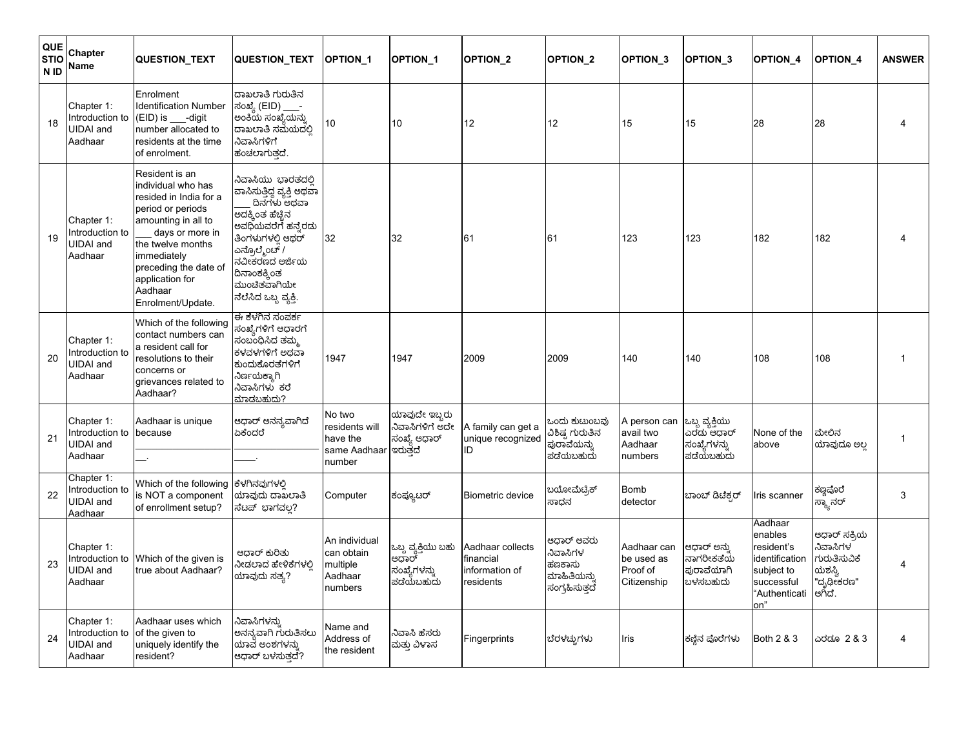| QUE<br><b>STIO</b><br>N ID | Chapter<br>Name                                              | <b>QUESTION_TEXT</b>                                                                                                                                                                                                                          | <b>QUESTION TEXT</b>                                                                                                                                                                                                     | <b>OPTION 1</b>                                                | <b>OPTION 1</b>                                            | <b>OPTION 2</b>                                              | <b>OPTION 2</b>                                                   | OPTION <sub>3</sub>                                  | OPTION_3                                                                 | <b>OPTION 4</b>                                                                                        | <b>OPTION 4</b>                                                                             | <b>ANSWER</b>  |
|----------------------------|--------------------------------------------------------------|-----------------------------------------------------------------------------------------------------------------------------------------------------------------------------------------------------------------------------------------------|--------------------------------------------------------------------------------------------------------------------------------------------------------------------------------------------------------------------------|----------------------------------------------------------------|------------------------------------------------------------|--------------------------------------------------------------|-------------------------------------------------------------------|------------------------------------------------------|--------------------------------------------------------------------------|--------------------------------------------------------------------------------------------------------|---------------------------------------------------------------------------------------------|----------------|
| 18                         | Chapter 1:<br>ntroduction to<br><b>JIDAI</b> and<br>Aadhaar  | Enrolment<br><b>Identification Number</b><br>$(EID)$ is ____-digit<br>number allocated to<br>residents at the time<br>of enrolment.                                                                                                           | ದಾಖಲಾತಿ ಗುರುತಿನ<br>ಸಂಖ್ಯೆ (EID)<br>ಅಂಕಿಯ ಸಂಖ್ಯೆಯನ್ನು<br>ದಾಖಲಾತಿ ಸಮೆಯದಲ್ಲಿ<br>ನಿವಾಸಿಗಳಿಗೆ<br>ಹಂಚಲಾಗುತ್ತದೆ.                                                                                                                | 10                                                             | 10                                                         | 12                                                           | 12                                                                | 15                                                   | 15                                                                       | 28                                                                                                     | 28                                                                                          |                |
| 19                         | Chapter 1:<br>ntroduction to<br><b>JIDAI</b> and<br>Aadhaar  | Resident is an<br>individual who has<br>resided in India for a<br>period or periods<br>amounting in all to<br>days or more in<br>the twelve months<br>immediately<br>preceding the date of<br>application for<br>Aadhaar<br>Enrolment/Update. | ನಿವಾಸಿಯು ಭಾರತದಲಿ<br>ವಾಸಿಸುತ್ತಿದ್ದ ವ್ಯಕ್ತಿ ಅಥವಾ<br>ದಿನಗಳು ಅಥವಾ<br>ಅದಕ್ಕಿಂತ ಹೆಚ್ಚಿನ<br>ಅವಧಿಯವರೆಗೆ ಹನ್ನೆರಡು<br>ತಿಂಗಳುಗಳಲಿ ಆಥರ್<br>ಎನ್ರೊಲ್ಮೆಂಟ್ /<br>ನವೀಕರಣದ ಅರ್ಜಿಯ<br>ದಿನಾಂಕಕ್ಕಿಂತ<br>ಮುಂಚಿತವಾಗಿಯೇ<br>ನೆಲೆಸಿದ ಒಬ್ಬ ವ್ಯಕ್ತಿ. | 32                                                             | 32                                                         | 61                                                           | 61                                                                | 123                                                  | 123                                                                      | 182                                                                                                    | 182                                                                                         |                |
| 20                         | Chapter 1:<br>ntroduction to<br>JIDAI and<br>Aadhaar         | Which of the following<br>contact numbers can<br>a resident call for<br>resolutions to their<br>concerns or<br>grievances related to<br>Aadhaar?                                                                                              | ಈ ಕೆಳಗಿನ ಸಂಪರ್ಕ<br>ಸಂಖ್ಯೆಗಳಿಗ <mark>ೆ</mark> ಆಧಾರಗೆ<br>ಸಂಬಂಧಿಸಿದ ತಮ್ಮ<br>ಕಳವಳಗಳಿಗೆ ಅಥವಾ<br>ಕುಂದುಕೊರತೆಗಳಿಗೆ<br>ನಿರ್ಣಯಕ್ಕಾಗಿ<br>ನಿವಾಸಿಗಳು ಕರೆ<br>ಮಾಡಬಹುದು?                                                                 | 1947                                                           | 1947                                                       | 2009                                                         | 2009                                                              | 140                                                  | 140                                                                      | 108                                                                                                    | 108                                                                                         | $\mathbf 1$    |
| 21                         | Chapter 1:<br>ntroduction to<br><b>JIDAI</b> and<br>Aadhaar  | Aadhaar is unique<br>because                                                                                                                                                                                                                  | ಆಧಾರ್ ಅನನ್ಯವಾಗಿದೆ<br>ಏಕೆಂದರೆ                                                                                                                                                                                             | No two<br>residents will<br>have the<br>same Aadhaar<br>number | ಯಾವುದೇ ಇಬ್ಬರು<br>ನಿವಾಸಿಗಳಿಗೆ ಅದೇ<br>ಸಂಖ್ಯೆ ಆಧಾರ್<br>ಇರುತದೆ | A family can get a<br>unique recognized<br>ID                | ಒಂದು ಕುಟುಂಬವು<br>ವಿಶಿಷ್ಠ ಗುರುತಿನ<br>ಪುರಾವೆಯನ್ನು<br>ಪಡೆಯಬಹುದು      | A person can<br>avail two<br>Aadhaar<br>numbers      | ಒಬ್ಬ ವ್ಯಕ್ತಿಯು<br>ಎರಡು ಆಧಾರ್<br>ಸಂಖ್ಯೆಗಳನ <mark>್</mark> ನು<br>ಪಡೆಯಬಹುದು | None of the<br>above                                                                                   | ಮೇಲಿನ<br>ಯಾವುದೂ ಅಲ್ಲ                                                                        | $\mathbf 1$    |
| 22                         | Chapter 1:<br>ntroduction to<br><b>JIDAI</b> and<br>Aadhaar  | Which of the following<br>is NOT a component<br>of enrollment setup?                                                                                                                                                                          | ಕೆಳಗಿನವುಗಳಲಿ<br>ಯಾವುದು ದಾಖಲಾತಿ<br>ಸೆಟಪ್ ಭಾಗವಲ್ಲ?                                                                                                                                                                         | Computer                                                       | ಕಂಪ್ಯೂಟರ್                                                  | Biometric device                                             | ಬಯೋಮೆಟ್ರಿಕ್<br>ಸಾಧನ                                               | <b>Bomb</b><br>detector                              | ಬಾಂಬ್ ಡಿಟೆಕ್ಸರ್                                                          | Iris scanner                                                                                           | ಕಣ್ಣಪೊರೆ<br>ಸ್ಕ್ಯಾನರ್                                                                       | 3              |
| 23                         | Chapter 1:<br>ntroduction to<br><b>UIDAI</b> and<br>Aadhaar  | Which of the given is<br>true about Aadhaar?                                                                                                                                                                                                  | ಆದಾರ್ ಕುರಿತು<br>ನೀಡಲಾದ ಹೇಳಿಕೆಗಳಲಿ<br>ಯಾವುದು ಸತ್ಯ?                                                                                                                                                                        | An individual<br>can obtain<br>multiple<br>Aadhaar<br>numbers  | ಒಬ್ಬ ವ್ಯಕ್ತಿಯು ಬಹು<br>ಆಧಾರ್<br>ಸಂಖ್ಯೆಗಳನ್ನು<br>ಪಡೆಯಬಹುದು   | Aadhaar collects<br>financial<br>information of<br>residents | ಆದಾರ್ ಅವರು<br>ನಿವಾಸಿಗಳ<br>ಹಣಕಾಸು<br>ಮಾಹಿತಿಯನ್ನು<br>ಸಂಗ್ರಹಿಸುತ್ತದೆ | Aadhaar can<br>be used as<br>Proof of<br>Citizenship | ಆಧಾರ್ ಅನು<br>ನಾಗರೀಕತೆಯ<br>ಪುರಾವೆಯಾಗಿ<br>ಬಳಸಬಹುದು                         | Aadhaar<br>enables<br>resident's<br>identification<br>subject to<br>successful<br>"Authenticati<br>on" | ಆಧಾರ್ ಸಕ್ರಿಯ<br>.<br>ನಿವಾಸಿಗಳ <sup>ಿ</sup><br>ಗುರುತಿಸುವಿಕೆ<br>ಯಶಸ್ವಿ<br>"ದೃಢೀಕರಣ"<br>ಆಗಿದೆ. | $\overline{4}$ |
| 24                         | Chapter 1:<br>Introduction to<br><b>JIDAI</b> and<br>Aadhaar | Aadhaar uses which<br>of the given to<br>uniquely identify the<br>resident?                                                                                                                                                                   | ನಿವಾಸಿಗಳನ್ನು<br>ಅನನ್ಯವಾಗಿ ಗುರುತಿಸಲು<br>ಯಾವೆ ಅಂಶಗಳನ್ನು<br>ಆಧಾರ್ ಬಳಸುತದೆ?                                                                                                                                                  | Name and<br>Address of<br>the resident                         | ನಿವಾಸಿ ಹೆಸರು<br>ಮತ್ತು ವಿಳಾಸ                                | Fingerprints                                                 | ಬೆರಳಚ್ಚುಗಳು                                                       | <b>Iris</b>                                          | ಕಣ್ಣಿನ ಪೊರೆಗಳು                                                           | Both 2 & 3                                                                                             | ಎರದೂ 2 & 3                                                                                  | $\overline{4}$ |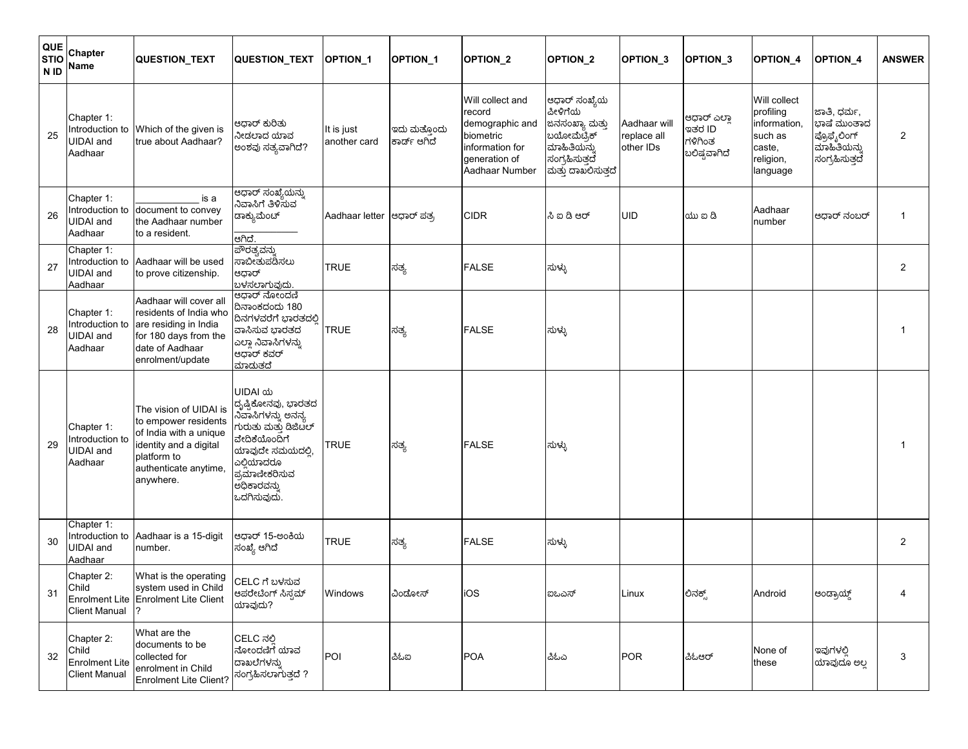| QUE<br><b>STIO</b><br>N ID | Chapter<br>Name                                                      | <b>QUESTION_TEXT</b>                                                                                                                                    | QUESTION_TEXT                                                                                                                                                                   | <b>OPTION 1</b>            | <b>OPTION 1</b>              | <b>OPTION 2</b>                                                                                                  | <b>OPTION 2</b>                                                                                                  | OPTION <sub>_3</sub>                     | OPTION <sub>3</sub>                            | <b>OPTION 4</b>                                                                         | <b>OPTION 4</b>                                                            | <b>ANSWER</b>  |
|----------------------------|----------------------------------------------------------------------|---------------------------------------------------------------------------------------------------------------------------------------------------------|---------------------------------------------------------------------------------------------------------------------------------------------------------------------------------|----------------------------|------------------------------|------------------------------------------------------------------------------------------------------------------|------------------------------------------------------------------------------------------------------------------|------------------------------------------|------------------------------------------------|-----------------------------------------------------------------------------------------|----------------------------------------------------------------------------|----------------|
| 25                         | Chapter 1:<br><b>UIDAI</b> and<br>Aadhaar                            | Introduction to Which of the given is<br>true about Aadhaar?                                                                                            | ಆಧಾರ್ ಕುರಿತು<br>ನೀಡಲಾದ ಯಾವ<br>ಅಂಶವು ಸತ್ಯವಾಗಿದೆ?                                                                                                                                 | It is just<br>another card | ಇದು ಮತ್ತೊಂದು<br>ಕಾರ್ಡ್ ಆಗಿದೆ | Will collect and<br>record<br>demographic and<br>biometric<br>information for<br>generation of<br>Aadhaar Number | ಆಧಾರ್ ಸಂಖ್ಯೆಯ<br>ಪೀಳಿಗೆಯ<br>ಜನಸಂಖ್ಯಾ ಮತ್ತು<br>ಬಯೋಮೆಟ್ರಿಕ್<br>ಮಾಹಿತಿಯನ್ನು<br>ಸಂಗ್ರಹಿಸುತ್ತದೆ<br>ಮತ್ತು ದಾಖಲಿಸುತ್ತದೆ | Aadhaar will<br>replace all<br>other IDs | ಆಧಾರ್ ಎಲಾ<br>ಇತರ ID<br>ಗಳಿಗಿಂತ<br>ಬಲಿಷ್ರವಾಗಿದೆ | Will collect<br>profiling<br>information,<br>such as<br>caste,<br>religion,<br>language | ಜಾತಿ, ಧರ್ಮ,<br>ಭಾಷೆ ಮುಂತಾದ<br>ಪ್ರೊಫೈಲಿಂಗ್<br>ಮಾಹಿತಿಯನ್ನು<br>ಸಂಗ್ರಹಿಸುತ್ತದೆ | $\overline{2}$ |
| 26                         | Chapter 1:<br><b>UIDAI</b> and<br>Aadhaar                            | is a<br>Introduction to document to convey<br>the Aadhaar number<br>to a resident.                                                                      | ಆಧಾರ್ ಸಂಖ್ಯೆಯನ್ನು<br>ನಿವಾಸಿಗೆ ತಿಳಿಸುವ<br>ಡಾಕ್ಯುಮೆಂಚ್<br>ಆಗಿದೆ.                                                                                                                  | Aadhaar letter  ಆಧಾರ್ ಪತ್ರ |                              | <b>CIDR</b>                                                                                                      | ಸಿ ಐ ಡಿ ಆರ್                                                                                                      | <b>UID</b>                               | $ab$ ක යි                                      | Aadhaar<br>number                                                                       | ಆಧಾರ್ ನಂಬರ್                                                                | $\mathbf{1}$   |
| 27                         | Chapter 1:<br><b>UIDAI</b> and<br>Aadhaar                            | Introduction to Aadhaar will be used<br>to prove citizenship.                                                                                           | ಪೌರತ್ಯವನ್ನು<br>ಸಾಬೀತುಪಡಿಸಲು<br>ಆಧಾರ್<br>ಬಳಸಲಾಗುವುದು.                                                                                                                            | <b>TRUE</b>                | ಸತ್ಯ                         | <b>FALSE</b>                                                                                                     | ಸುಳ್ಳು                                                                                                           |                                          |                                                |                                                                                         |                                                                            | $\overline{2}$ |
| 28                         | Chapter 1:<br>Introduction to<br><b>UIDAI</b> and<br>Aadhaar         | Aadhaar will cover all<br>residents of India who<br>are residing in India<br>for 180 days from the<br>date of Aadhaar<br>enrolment/update               | ಆಧಾರ್ ನೋಂದಣಿ<br>ದಿನಾಂಕದಂದು 180<br>ದಿನಗಳವರೆಗೆ ಭಾರತದಲ್ಲಿ<br>ವಾಸಿಸುವ ಬಾರತದ<br>ಎಲ್ಲಾ ನಿವಾಸಿಗಳನ್ನು<br>ಆಧಾರ್ ಕವರ್<br>ಮಾದುತದೆ                                                          | <b>TRUE</b>                | ಸತ್ಯ                         | <b>FALSE</b>                                                                                                     | ಸುಳ್ಳು                                                                                                           |                                          |                                                |                                                                                         |                                                                            | $\mathbf 1$    |
| 29                         | Chapter 1:<br>Introduction to<br><b>UIDAI</b> and<br>Aadhaar         | The vision of UIDAI is<br>to empower residents<br>of India with a unique<br>identity and a digital<br>platform to<br>authenticate anytime,<br>anywhere. | UIDAI <i>ಯ</i><br>ದೃಷ್ಟಿಕೋನವು, ಭಾರತದ<br>ನಿವಾಸಿಗಳನ್ನು ಅನನ್ಯ<br>ಗುರುತು ಮತು ಡಿಜಿಟಲ್<br>ವೇದಿಕೆಯೊಂದಿಗೆ<br>ಯಾವುದೇ ಸಮಯದಲ್ಲಿ<br>ಎಲಿಯಾದರೂ<br>ಪ್ರಮಾಣೀಕರಿಸುವ<br>ಅಧಿಕಾರವನ್ನು<br>ಒದಗಿಸುವುದು. | <b>TRUE</b>                | ಸತ್ಯ                         | <b>FALSE</b>                                                                                                     | ಸುಳ್ಳು                                                                                                           |                                          |                                                |                                                                                         |                                                                            | $\mathbf 1$    |
| 30                         | Chapter 1:<br><b>UIDAI</b> and<br>Aadhaar                            | Introduction to Aadhaar is a 15-digit<br>number.                                                                                                        | ಆಧಾರ್ 15-ಅಂಕಿಯ<br>ಸಂಖ್ಯೆ ಆಗಿದೆ                                                                                                                                                  | <b>TRUE</b>                | ಸತ್ಯ                         | <b>FALSE</b>                                                                                                     | ಸುಳ್ಳು                                                                                                           |                                          |                                                |                                                                                         |                                                                            | 2              |
| 31                         | Chapter 2:<br>Child<br><b>Client Manual</b>                          | What is the operating<br>system used in Child<br>Enrolment Lite Enrolment Lite Client                                                                   | CELC ಗೆ ಬಳಸುವ<br>ಆಪರೇಟಿಂಗ್ ಸಿಸ್ಪಮ್<br>ಯಾವುದು?                                                                                                                                   | Windows                    | ವಿಂದೋಸ್                      | iOS                                                                                                              | ಐಒಎಸ್                                                                                                            | Linux                                    | ಲಿನಕ್ಸ್                                        | Android                                                                                 | ಆಂದ್ರಾಯ್ಡ್                                                                 | 4              |
| 32                         | Chapter 2:<br>Child<br><b>Enrolment Lite</b><br><b>Client Manual</b> | What are the<br>documents to be<br>collected for<br>enrolment in Child<br><b>Enrolment Lite Client?</b>                                                 | CELC ನಲಿ<br>ನೋಂದಣಿಗೆ ಯಾವ<br>ದಾಖಲೆಗಳನ್ನು<br>ಸಂಗ್ರಹಿಸಲಾಗುತ್ತದೆ ?                                                                                                                  | POI                        | చిఓఐ                         | <b>POA</b>                                                                                                       | చిఓచి                                                                                                            | <b>POR</b>                               | చిఓఆరా                                         | None of<br>these                                                                        | ಇವುಗಳಲ್ಲಿ<br>ಯಾವುದೂ ಅಲ್ಲ                                                   | 3              |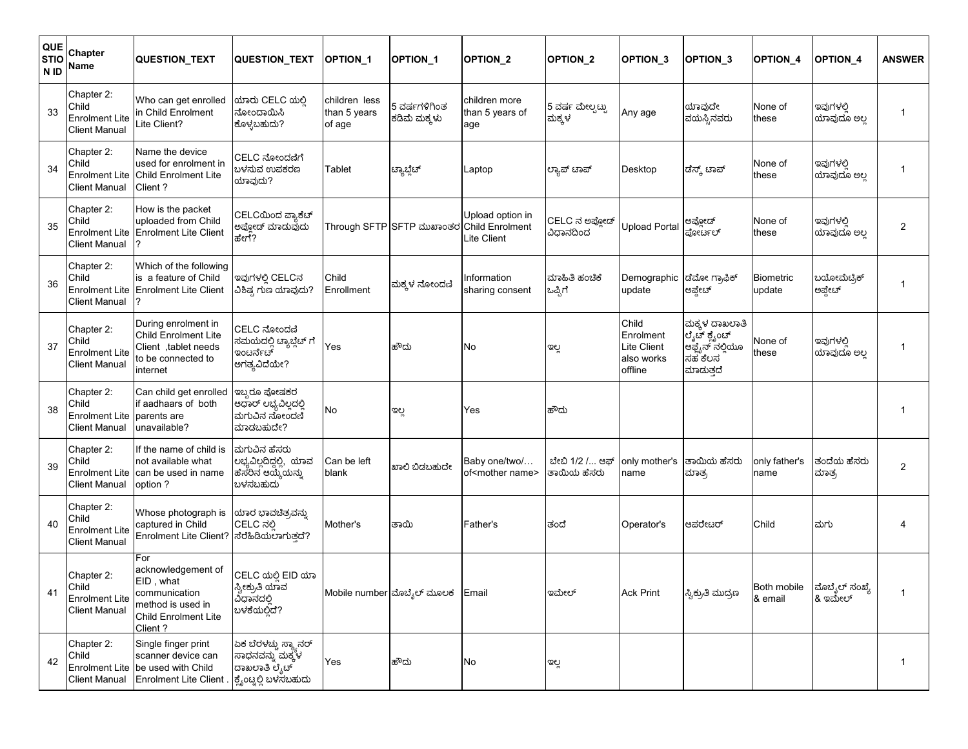| QUE<br><b>STIO</b><br>N ID | Chapter<br>Name                                                      | QUESTION TEXT                                                                                                           | <b>QUESTION TEXT</b>                                                              | <b>OPTION 1</b>                         | <b>OPTION 1</b>               | <b>OPTION 2</b>                                           | <b>OPTION 2</b>               | <b>OPTION 3</b>                                            | OPTION <sub>3</sub>                                                      | <b>OPTION 4</b>        | <b>OPTION 4</b>          | <b>ANSWER</b>  |
|----------------------------|----------------------------------------------------------------------|-------------------------------------------------------------------------------------------------------------------------|-----------------------------------------------------------------------------------|-----------------------------------------|-------------------------------|-----------------------------------------------------------|-------------------------------|------------------------------------------------------------|--------------------------------------------------------------------------|------------------------|--------------------------|----------------|
| 33                         | Chapter 2:<br>Child<br><b>Enrolment Lite</b><br><b>Client Manual</b> | Who can get enrolled<br>in Child Enrolment<br>Lite Client?                                                              | ಯಾರು CELC ಯಲ್ಲಿ<br>ನೋಂದಾಯಿಸಿ<br>ಕೊಳ್ಳಬಹುದು?                                       | children less<br>than 5 years<br>of age | 5 ವರ್ಷಗಳಿಗಿಂತ<br>ಕಡಿಮೆ ಮಕ್ಕಳು | children more<br>than 5 years of<br>age                   | 5 ವರ್ಷ ಮೇಲ್ಸಟ್ಟು<br>ಮಕ್ಕಳ     | Any age                                                    | ಯಾವುದೇ<br>ವಯಸ್ಸಿನವರು                                                     | None of<br>these       | ಇವುಗಳಲಿ<br>ಯಾವುದೂ ಅಲ್ಲ   | -1             |
| 34                         | Chapter 2:<br>Child<br>Enrolment Lite<br><b>Client Manual</b>        | Name the device<br>used for enrolment in<br>Child Enrolment Lite<br>Client?                                             | CELC ನೋಂದಣಿಗೆ<br>ಬಳಸುವ ಉಪಕರಣ<br>ಯಾವುದು?                                           | Tablet                                  | ಟ್ಯಾಬ್ಲೆಟ್                    | _aptop                                                    | ಲ್ಯಾಪ್ ಟಾಪ್                   | Desktop                                                    | ಡೆಸ್ಕ್ ಟಾಪ್                                                              | None of<br>these       | ಇವುಗಳಲಿ<br>ಯಾವುದೂ ಅಲ್ಲ   | -1             |
| 35                         | Chapter 2:<br>Child<br><b>Enrolment Lite</b><br><b>Client Manual</b> | How is the packet<br>uploaded from Child<br><b>Enrolment Lite Client</b>                                                | CELCಯಿಂದ ಪ್ಯಾಕೆಚ್<br>ಅಪ್ಲೋಡ್ ಮಾಡುವುದು<br>ಹೇಗೆ?                                    |                                         | Through SFTP SFTP ಮುಖಾಂತರ     | Upload option in<br><b>Child Enrolment</b><br>Lite Client | CELC ನ ಅಪ್ಲೋಡ್<br>ವಿಧಾನದಿಂದ   | Upload Portal                                              | ಅಪ್ಲೋಡ್<br>ಪೋರ್ಟಲ್                                                       | None of<br>these       | ಇವುಗಳಲಿ<br>ಯಾವುದೂ ಅಲ್ಲ   | 2              |
| 36                         | Chapter 2:<br>Child<br><b>Enrolment Lite</b><br>Client Manual        | Which of the following<br>is a feature of Child<br><b>Enrolment Lite Client</b><br>?                                    | ಇವುಗಳಲಿ CELCನ<br>ವಿಶಿಷ್ಟ ಗುಣ ಯಾವುದು?                                              | Child<br>Enrollment                     | ಮಕ್ಕಳ ನೋಂದಣಿ                  | nformation<br>sharing consent                             | ಮಾಹಿತಿ ಹಂಚಿಕೆ<br>ಒಪ್ಪಿಗೆ      | Demographic<br>update                                      | ಡೆಮೋ ಗ್ರಾಫಿಕ್<br>ಅಪ್ಗೇಟ್                                                 | Biometric<br>update    | ಬಯೋಮೆಟ್ರಿಕ್<br>ಅಪ್ಗೇಟ್   | 1              |
| 37                         | Chapter 2:<br>Child<br><b>Enrolment Lite</b><br><b>Client Manual</b> | During enrolment in<br>Child Enrolment Lite<br>Client, tablet needs<br>to be connected to<br>internet                   | CELC ನೋಂದಣಿ<br>ಸಮಯದಲ್ಲಿ ಟ್ಯಾಬ್ಲೆಟ್ ಗೆ<br>ಇಂಟರ್ನೆಟ್<br>ಅಗತ್ಯವಿದೆಯೇ?                | Yes                                     | ಹೌದು                          | No                                                        | ಇಲ್ಲ                          | Child<br>Enrolment<br>Lite Client<br>also works<br>offline | ಮಕ್ಕಳ ದಾಖಲಾತಿ<br>ಲೈಟ್ ಕ್ಲೈಂಚ್<br>ಆಫ್ಟೈನ್ ನಲ್ಲಿಯೂ<br>ಸಹ ಕೆಲಸ<br>ಮಾದುತ್ತದೆ | None of<br>these       | ಇವುಗಳಲಿ<br>ಯಾವುದೂ ಅಲ್ಲ   | -1             |
| 38                         | Chapter 2:<br>Child<br>Enrolment Lite<br><b>Client Manual</b>        | Can child get enrolled<br>if aadhaars of both<br>parents are<br>unavailable?                                            | ಇಬ್ಬರೂ ಪೋಷಕರ<br>ಆಧಾರ್ ಲಭ್ಯವಿಲ್ಲದಲ್ಲಿ<br>ಮಗುವಿನ ನೋಂದಣಿ<br>ಮಾಡಬಹುದೇ?                | No                                      | ಇಲ್ಲ                          | Yes                                                       | ಹೌದು                          |                                                            |                                                                          |                        |                          | -1             |
| 39                         | Chapter 2:<br>Child<br><b>Enrolment Lite</b><br>Client Manual        | If the name of child is<br>not available what<br>can be used in name<br>option ?                                        | ಮಗುವಿನ ಹೆಸರು<br>ಲಭ್ಯವಿಲ್ಲದಿದ್ದಲ್ಲಿ, ಯಾವ<br>ಹೆಸರಿನ ಆಯ್ಕೆಯನ್ನು<br>ಬಳಸಬಹುದು          | Can be left<br>blank                    | ಖಾಲಿ ಬಿಡಬಹುದೇ                 | Baby one/two/<br>of <mother name=""></mother>             | ಬೇಬಿ 1/2 / ಆಫ್<br>ತಾಯಿಯ ಹೆಸರು | only mother's<br>name                                      | ತಾಯಿಯ ಹೆಸರು<br>ಮಾತ್ರ                                                     | only father's<br>name  | ತಂದೆಯ ಹೆಸರು<br>ಮಾತ್ರ     | $\overline{2}$ |
| 40                         | Chapter 2:<br>Child<br><b>Enrolment Lite</b><br><b>Client Manual</b> | Whose photograph is<br>captured in Child<br><b>Enrolment Lite Client?</b>                                               | ಯಾರ ಭಾವಚಿತ್ರವನ್ನು<br>CELC ನಲ್ಲಿ<br>ಸೆರೆಹಿಡಿಯಲಾಗುತ್ತದೆ?                            | Mother's                                | ತಾಯಿ                          | Father's                                                  | ತಂದೆ                          | Operator's                                                 | ಆಪರೇಟರ್                                                                  | Child                  | ಮಗು                      |                |
| 41                         | Chapter 2:<br>Child<br><b>Enrolment Lite</b><br><b>Client Manual</b> | For<br>acknowledgement of<br>EID . what<br>communication<br>method is used in<br>Child Enrolment Lite<br>Client?        | CELC ಯಲ್ಲಿ EID ಯಾ<br>ಸ್ವೀಕ್ರುತಿ ಯಾವ<br>ವಿಧಾನದಲ್ಲಿ<br>ಬಳಕೆಯಲ್ಲಿದೆ?                 |                                         | Mobile number ಮೊಬ್ಶೆಲ್ ಮೂಲಕ   | Email                                                     | ಇಮೇಲ್                         | <b>Ack Print</b>                                           | ಸ್ವಿಕ್ರುತಿ ಮುದ್ರಣ                                                        | Both mobile<br>& email | ಮೊಬೈಲ್ ಸಂಖ್ಯೆ<br>& ಇಮೇಲ್ | $\overline{1}$ |
| 42                         | Chapter 2:<br>Child                                                  | Single finger print<br>scanner device can<br>Enrolment Lite   be used with Child<br>Client Manual Enrolment Lite Client | ಏಕ ಬೆರಳಚ್ಚು ಸ್ಕ್ಯಾನರ್<br>ಸಾಧನವನ್ನು ಮಕ್ಕಳ<br>ದಾಖಲಾತಿ ಲೈಟ್<br>ಕ್ಲೈಂಟ್ನಲ್ಲಿ ಬಳಸಬಹುದು | Yes                                     | ಹೌದು                          | No                                                        | ಇಲ್ಲ                          |                                                            |                                                                          |                        |                          | -1             |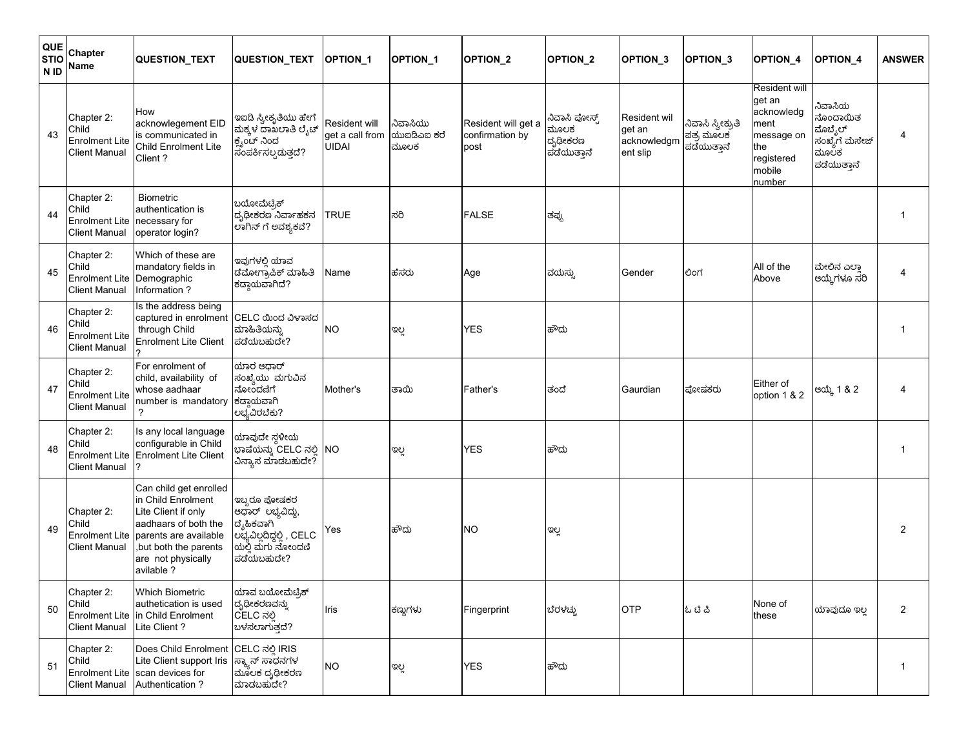| QUE<br><b>STIO</b><br>N <sub>ID</sub> | Chapter<br>Name                                                      | <b>QUESTION_TEXT</b>                                                                                                                                                               | QUESTION_TEXT                                                                                                 | <b>OPTION 1</b>                                  | <b>OPTION 1</b>                 | <b>OPTION 2</b>                                | <b>OPTION 2</b>                                 | <b>OPTION 3</b>                                          | <b>OPTION 3</b>                               | <b>OPTION 4</b>                                                                                      | <b>OPTION 4</b>                                                         | <b>ANSWER</b>  |
|---------------------------------------|----------------------------------------------------------------------|------------------------------------------------------------------------------------------------------------------------------------------------------------------------------------|---------------------------------------------------------------------------------------------------------------|--------------------------------------------------|---------------------------------|------------------------------------------------|-------------------------------------------------|----------------------------------------------------------|-----------------------------------------------|------------------------------------------------------------------------------------------------------|-------------------------------------------------------------------------|----------------|
| 43                                    | Chapter 2:<br>Child<br><b>Enrolment Lite</b><br><b>Client Manual</b> | How<br>acknowlegement EID<br>is communicated in<br>Child Enrolment Lite<br>Client?                                                                                                 | ಇಐಡಿ ಸ್ವೀಕೃತಿಯು ಹೇಗೆ<br> ಮಕ್ಕಳ ದಾಖಲಾತಿ ಲೈಟ್<br>ಕೈಂಟ್ ನಿಂದ<br>ಸಂಪರ್ಕಿಸಲ್ಪದುತ್ತದೆ?                              | Resident will<br>get a call from<br><b>UIDAI</b> | ನಿವಾಸಿಯು<br>ಯುಐಡಿಎಐ ಕರೆ<br>ಮೂಲಕ | Resident will get a<br>confirmation by<br>post | ನಿವಾಸಿ ಪೋಸ್ಟ್<br>ಮೂಲಕ<br>ದೃಧೀಕರಣ<br>ಪಡೆಯುತ್ತಾನೆ | <b>Resident wil</b><br>get an<br>acknowledgm<br>ent slip | ನಿವಾಸಿ ಸ್ವೀಕ್ರುತಿ<br>ಪತ್ರ ಮೂಲಕ<br>ಪಡೆಯುತ್ತಾನೆ | Resident will<br>get an<br>acknowledg<br>ment<br>message on<br>the<br>registered<br>mobile<br>number | ನಿವಾಸಿಯ<br>ನೊಂದಾಯಿತ<br>ಮೊಬೈಲ್<br>ಸಂಖ್ಯೆಗೆ ಮೆಸೇಜ್<br>ಮೂಲಕ<br>ಪಡೆಯುತ್ತಾನೆ | 4              |
| 44                                    | Chapter 2:<br>Child<br><b>Enrolment Lite</b><br><b>Client Manual</b> | <b>Biometric</b><br>authentication is<br>necessary for<br>operator login?                                                                                                          | ಬಯೋಮೆಟ್ರಿಕ್<br>ದೃಢೀಕರಣ ನಿರ್ವಾಹಕನ<br>ಲಾಗಿನ್ ಗೆ ಅವಶ್ಯಕವೆ?                                                       | <b>TRUE</b>                                      | ಸರಿ                             | <b>FALSE</b>                                   | ತಪ್ಪು                                           |                                                          |                                               |                                                                                                      |                                                                         | -1             |
| 45                                    | Chapter 2:<br>Child<br><b>Enrolment Lite</b><br><b>Client Manual</b> | Which of these are<br>mandatory fields in<br>Demographic<br>Information?                                                                                                           | ಇವುಗಳಲಿ ಯಾವ<br>ಡೆಮೋಗ್ರಾಪಿಕ್ ಮಾಹಿತಿ<br>ಕಡ್ಡಾಯವಾಗಿದೆ?                                                           | Name                                             | ಹೆಸರು                           | Age                                            | ವಯಸ್ಸು                                          | Gender                                                   | ಲಿಂಗ                                          | All of the<br>Above                                                                                  | ಮೇಲಿನ ಎಲ್ಲಾ<br>ಆಯ್ಕೆಗಳೂ ಸರಿ                                             | $\overline{4}$ |
| 46                                    | Chapter 2:<br>Child<br><b>Enrolment Lite</b><br><b>Client Manual</b> | Is the address being<br>captured in enrolment<br>through Child<br><b>Enrolment Lite Client</b><br><sup>2</sup>                                                                     | CELC ಯಿಂದ ವಿಳಾಸದ<br>ಮಾಹಿತಿಯನ್ನು<br>ಪಡೆಯಬಹುದೇ?                                                                 | <b>NO</b>                                        | ಇಲ್ಲ                            | <b>YES</b>                                     | ಹೌದು                                            |                                                          |                                               |                                                                                                      |                                                                         | -1             |
| 47                                    | Chapter 2:<br>Child<br><b>Enrolment Lite</b><br><b>Client Manual</b> | For enrolment of<br>child, availability of<br>whose aadhaar<br>number is mandatory<br>?                                                                                            | ಯಾರ ಆಧಾರ್<br>ಸಂಖ್ಯೆಯು ಮಗುವಿನ<br>ನೋಂದಣಿಗೆ<br>ಕದ್ಗಾಯವಾಗಿ<br>ಲಭ್ಯವಿರಬೆಕು?                                        | Mother's                                         | ತಾಯಿ                            | Father's                                       | ತಂದೆ                                            | Gaurdian                                                 | ಪೋಷಕರು                                        | Either of<br>option 1 & 2                                                                            | ಆಯ್ಕೆ 1 & 2                                                             | $\overline{4}$ |
| 48                                    | Chapter 2:<br>Child<br><b>Enrolment Lite</b><br><b>Client Manual</b> | Is any local language<br>configurable in Child<br><b>Enrolment Lite Client</b>                                                                                                     | ಯಾವುದೇ ಸ್ಥಳೀಯ<br>ಭಾಷೆಯನ್ನು CELC ನಲ್ಲಿ NO<br>ವಿನ್ಯಾಸ ಮಾಡಬಹುದೇ?                                                 |                                                  | ಇಲ್ಲ                            | <b>YES</b>                                     | ಹೌದು                                            |                                                          |                                               |                                                                                                      |                                                                         | 1              |
| 49                                    | Chapter 2:<br>Child<br><b>Enrolment Lite</b><br><b>Client Manual</b> | Can child get enrolled<br>in Child Enrolment<br>Lite Client if only<br>aadhaars of both the<br>parents are available<br>, but both the parents<br>are not physically<br>avilable ? | ಇಬ್ಬರೂ ಪೋಷಕರ<br>ಆಧಾರ್ ಲಭ್ಯವಿದ್ದು,<br>ದೈಹಿಕವಾಗಿ<br>ಲಭ್ಯವಿಲ್ಲದಿದ್ದಲ್ಲಿ, CELC<br> ಯಲ್ಲಿ ಮಗು ನೋಂದಣಿ<br>ಪಡೆಯಬಹುದೇ? | Yes                                              | ಹೌದು                            | <b>NO</b>                                      | ಇಲ್ಲ                                            |                                                          |                                               |                                                                                                      |                                                                         | $\overline{2}$ |
| 50                                    | Chapter 2:<br>Child<br><b>Client Manual</b>                          | Which Biometric<br>authetication is used<br>Enrolment Lite in Child Enrolment<br>Lite Client?                                                                                      | ಯಾವ ಬಯೋಮೆಟ್ರಿಕ್<br>ದೃಢೀಕರಣವನ್ನು<br>CELC ನಲ್ಲಿ<br>ขุษสยวญชื่อ                                                  | Iris                                             | ಕಣ್ಣುಗಳು                        | Fingerprint                                    | ಬೆರಳಚ್ಚು                                        | <b>OTP</b>                                               | ఓ టి చి                                       | None of<br>these                                                                                     | ಯಾವುದೂ ಇಲ್ಲ                                                             | $\overline{2}$ |
| 51                                    | Chapter 2:<br>Child<br><b>Client Manual</b>                          | Does Child Enrolment<br>Lite Client support Iris<br>Enrolment Lite scan devices for<br>Authentication ?                                                                            | CELC ನಲ್ಲಿ IRIS<br>ಸ್ಕ್ಯಾನ್ ಸಾಧನಗಳ<br>ಮೂಲಕ ದೃಢೀಕರಣ<br>ಮಾಡಬಹುದೇ?                                               | <b>NO</b>                                        | ಇಲ್ಲ                            | <b>YES</b>                                     | ಹೌದು                                            |                                                          |                                               |                                                                                                      |                                                                         | $\mathbf{1}$   |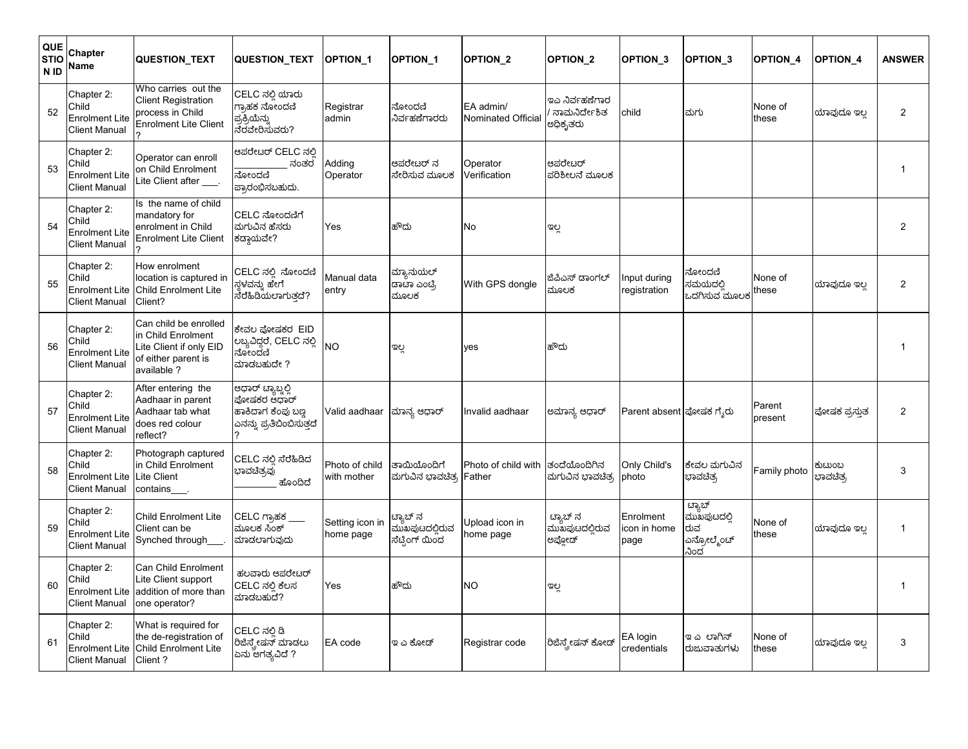| <b>QUE</b><br><b>STIO</b><br>N ID | Chapter<br>Name                                                      | <b>QUESTION_TEXT</b>                                                                                         | QUESTION_TEXT                                                                    | <b>OPTION 1</b>               | <b>OPTION 1</b>                              | <b>OPTION 2</b>                 | <b>OPTION 2</b>                            | OPTION_3                          | <b>OPTION 3</b>                                    | OPTION_4          | <b>OPTION 4</b>                  | <b>ANSWER</b>  |
|-----------------------------------|----------------------------------------------------------------------|--------------------------------------------------------------------------------------------------------------|----------------------------------------------------------------------------------|-------------------------------|----------------------------------------------|---------------------------------|--------------------------------------------|-----------------------------------|----------------------------------------------------|-------------------|----------------------------------|----------------|
| 52                                | Chapter 2:<br>Child<br><b>Enrolment Lite</b><br><b>Client Manual</b> | Who carries out the<br><b>Client Registration</b><br>process in Child<br><b>Enrolment Lite Client</b>        | CELC ನಲ್ಲಿ ಯಾರು<br>ಗ್ರಾಹಕ ನೋಂದಣಿ<br>ಪ್ರಕ್ರಿಯೆನ್ನು<br>ನೆರವೇರಿಸುವರು?               | Registrar<br>admin            | ನೋಂದಣಿ<br>ನಿರ್ವಹಣೆಗಾರರು                      | EA admin/<br>Nominated Official | ಇಎ ನಿರ್ವಹಣೆಗಾರ<br>ನಾಮನಿರ್ದೇಶಿತ<br>ಅಧಿಕೃತರು | child                             | ಮಗು                                                | None of<br>these  | ಯಾವುದೂ ಇಲ                        | $\overline{2}$ |
| 53                                | Chapter 2:<br>Child<br><b>Enrolment Lite</b><br><b>Client Manual</b> | Operator can enroll<br>on Child Enrolment<br>Lite Client after ___                                           | ಆಪರೇಟರ್ CELC ನಲಿ<br>ನಂತರ<br>ನೋಂದಣಿ<br>ಪ್ರಾರಂಭಿಸಬಹುದು.                            | Adding<br>Operator            | ಆಪರೇಟರ್ ನ<br>ಸೇರಿಸುವ ಮೂಲಕ                    | Operator<br>Verification        | ಆಪರೇಟರ್<br>ಪರಿಶೀಲನೆ ಮೂಲಕ                   |                                   |                                                    |                   |                                  | 1              |
| 54                                | Chapter 2:<br>Child<br><b>Enrolment Lite</b><br><b>Client Manual</b> | Is the name of child<br>mandatory for<br>enrolment in Child<br><b>Enrolment Lite Client</b>                  | CELC ನೋಂದಣಿಗೆ<br>ಮಗುವಿನ ಹೆಸರು<br>ಕಡ್ಡಾಯವೇ?                                       | Yes                           | ಹೌದು                                         | No                              | ಇಲ್ಲ                                       |                                   |                                                    |                   |                                  | $\overline{2}$ |
| 55                                | Chapter 2:<br>Child<br><b>Enrolment Lite</b><br><b>Client Manual</b> | How enrolment<br>location is captured in<br><b>Child Enrolment Lite</b><br>Client?                           | CELC ನಲ್ಲಿ ನೋಂದಣಿ<br>್ಥಳವನ್ನು ಹೇಗೆ<br>ಸರಹಿಡಿಯಲಾಗುತ್ತದೆ?                          | Manual data<br>entry          | ಮ್ಯಾನುಯಲ್<br>ಡಾಟಾ ಎಂಟ್ರಿ<br>ಮೂಲಕ             | With GPS dongle                 | ಜಿಪಿಎಸ್ ಡಾಂಗಲ್<br>ಮೂಲಕ                     | Input during<br>registration      | ನೋಂದಣಿ<br>ಸಮಯದಲಿ<br>ಒದಗಿಸುವ ಮೂಲಕ                   | None of<br>these  | ಯಾವುದೂ ಇಲ                        | $\overline{2}$ |
| 56                                | Chapter 2:<br>Child<br><b>Enrolment Lite</b><br><b>Client Manual</b> | Can child be enrolled<br>in Child Enrolment<br>Lite Client if only EID<br>of either parent is<br>available ? | ಕೇವಲ ಪೋಷಕರ EID<br>ಲಬ್ಯವಿದ್ದರೆ, CELC ನಲ್ಲಿ<br>ನೋಂದಣಿ<br>ಮಾಡಬಹುದೇ ?                | <b>NO</b>                     | ಇಲ್ಲ                                         | yes                             | ಹೌದು                                       |                                   |                                                    |                   |                                  | $\mathbf{1}$   |
| 57                                | Chapter 2:<br>Child<br><b>Enrolment Lite</b><br><b>Client Manual</b> | After entering the<br>Aadhaar in parent<br>Aadhaar tab what<br>does red colour<br>reflect?                   | ಆಧಾರ್ ಟ್ಯಾಬ್ನಲ್ಲಿ<br>ಪೋಷಕರ ಆಧಾರ್<br>ಹಾಕಿದಾಗ ಕೆಂಪು ಬಣ<br>ಎನನ್ನು ಪ್ರತಿಬಿಂಬಿಸುತ್ತದೆ | Valid aadhaar                 | ಮಾನ್ಯ ಆಧಾರ್                                  | Invalid aadhaar                 | ಅಮಾನ್ಯ ಆಧಾರ್                               | Parent absent ಪೋಷಕ ಗೈರು           |                                                    | Parent<br>present | ಪೋಷಕ ಪ್ರಸ್ತುತ                    | $\overline{2}$ |
| 58                                | Chapter 2:<br>Child<br><b>Enrolment Lite</b><br><b>Client Manual</b> | Photograph captured<br>in Child Enrolment<br>Lite Client<br>contains.                                        | CELC ನಲ್ಲಿ ಸೆರೆಹಿಡಿದ<br>ಭಾವಚಿತ್ರವು<br>ಹೊಂದಿದೆ                                    | Photo of child<br>with mother | ತಾಯಿಯೊಂದಿಗೆ<br>ಮಗುವಿನ ಭಾವಚಿತ್ <mark>ರ</mark> | Photo of child with<br>Father   | ತಂದೆಯೊಂದಿಗಿನ<br>ಮಗುವಿನ ಭಾವಚಿತ್ರ            | Only Child's<br>photo             | ಕೇವಲ ಮಗುವಿನ<br>ಭಾವಚಿತ್ರ                            | Family photo      | ಕುಟುಂಬ<br>ಭಾವಚಿತ್ <mark>ರ</mark> | 3              |
| 59                                | Chapter 2:<br>Child<br><b>Enrolment Lite</b><br><b>Client Manual</b> | <b>Child Enrolment Lite</b><br>Client can be<br>Synched through___                                           | CELC ಗ್ರಾಹಕ<br>ಮೂಲಕ ಸಿಂಕ್<br>ಮಾಡಲಾಗುವುದು                                         | Setting icon in<br>home page  | ಟ್ಯಾಬ್ ನ<br>ಮುಖಪುಟದಲ್ಲಿರುವ<br>ಸೆಟ್ರಿಂಗ್ ಯಿಂದ | Upload icon in<br>home page     | ಟ್ಯಾಬ್ ನ<br>ಮುಖಪುಟದಲ್ಲಿರುವ<br>ಅಪ್ಲೋಡ್      | Enrolment<br>icon in home<br>page | ಟ್ಯಾಬ್<br>ಮುಖಪುಟದಲಿ<br>ರುವ<br>ಎನ್ರೋಲ್ಮೆಂಚ್<br>ನಿಂದ | None of<br>these  | ಯಾವುದೂ ಇಲ್ಲ                      | $\mathbf{1}$   |
| 60                                | Chapter 2:<br>Child<br><b>Enrolment Lite</b><br><b>Client Manual</b> | Can Child Enrolment<br>Lite Client support<br>addition of more than<br>one operator?                         | ಹಲವಾರು ಆಪರೇಟರ್<br>CELC ನಲ್ಲಿ ಕೆಲಸ<br>ಮಾಡಬಹುದೆ?                                   | Yes                           | ಹೌದು                                         | <b>NO</b>                       | ಇಲ್ಲ                                       |                                   |                                                    |                   |                                  | $\mathbf{1}$   |
| 61                                | Chapter 2:<br>Child<br>Enrolment Lite<br><b>Client Manual</b>        | What is required for<br>the de-registration of<br><b>Child Enrolment Lite</b><br>Client?                     | CELC ನಲಿ ಡಿ<br>ರಿಜಿಸ್ತ್ರೇಷನ್ ಮಾಡಲು<br>ಏನು ಅಗತ್ಯವಿದೆ ?                            | EA code                       | ಇ ಎ ಕೋಡ್                                     | Registrar code                  | ರಿಜಿಸ್ತ್ರೇಷನ್ ಕೋಡ್                         | EA login<br>credentials           | ಇ ಎಲಾಗಿನ್<br>ರುಜುವಾತುಗಳು                           | None of<br>these  | ಯಾವುದೂ ಇಲ                        | 3              |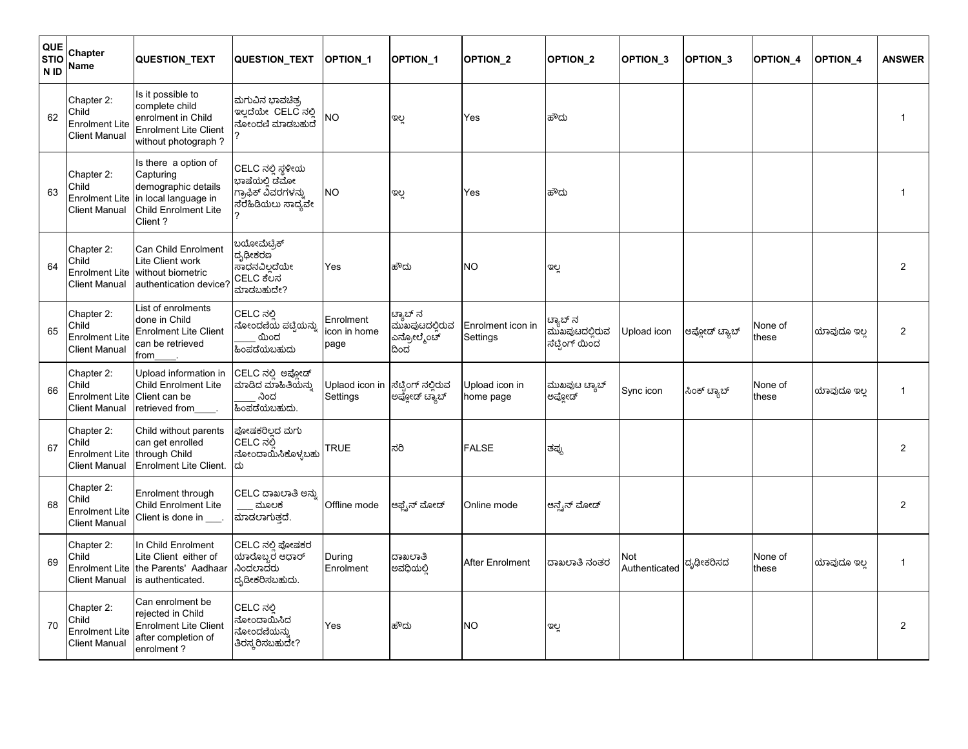| QUE<br><b>STIO</b><br>N <sub>ID</sub> | Chapter<br>Name                                                      | QUESTION_TEXT                                                                                                              | QUESTION_TEXT                                                                     | <b>OPTION 1</b>                  | <b>OPTION 1</b>                                  | OPTION_2                      | <b>OPTION 2</b>                              | OPTION_3             | <b>OPTION 3</b> | <b>OPTION 4</b>  | <b>OPTION 4</b> | <b>ANSWER</b>  |
|---------------------------------------|----------------------------------------------------------------------|----------------------------------------------------------------------------------------------------------------------------|-----------------------------------------------------------------------------------|----------------------------------|--------------------------------------------------|-------------------------------|----------------------------------------------|----------------------|-----------------|------------------|-----------------|----------------|
| 62                                    | Chapter 2:<br>Child<br><b>Enrolment Lite</b><br><b>Client Manual</b> | Is it possible to<br>complete child<br>enrolment in Child<br><b>Enrolment Lite Client</b><br>without photograph?           | ಮಗುವಿನ ಭಾವಚಿತ್ರ<br>ಇಲ್ಲದೆಯೇ CELC ನಲ್ಲಿ<br>ನೋಂದಣಿ ಮಾಡಬಹುದ                          | NΟ                               | ಇಲ್ಲ                                             | Yes                           | ಹೌದು                                         |                      |                 |                  |                 | 1              |
| 63                                    | Chapter 2:<br>Child<br>Enrolment Lite<br><b>Client Manual</b>        | Is there a option of<br>Capturing<br>demographic details<br>in local language in<br><b>Child Enrolment Lite</b><br>Client? | CELC ನಲ್ಲಿ ಸ್ಥಳೀಯ<br>ಭಾಷೆಯಲ್ಲಿ ಡೆಮೋ<br>ಗ್ರಾಫಿಕ್ ವಿವರಗಳನ್ನು<br>ಸೆರೆಹಿಡಿಯಲು ಸಾದ್ಯವೇ | <b>NO</b>                        | ಇಲ್ಲ                                             | Yes                           | ಹೌದು                                         |                      |                 |                  |                 | $\mathbf 1$    |
| 64                                    | Chapter 2:<br>Child<br>Enrolment Lite<br><b>Client Manual</b>        | Can Child Enrolment<br>Lite Client work<br>without biometric<br>authentication device?                                     | ಬಯೋಮೆಟ್ರಿಕ್<br>ದೃಢೀಕರಣ<br>ಸಾಧನವಿಲ್ಲದೆಯೇ<br>CELC ಕೆಲಸ<br>ಮಾಡಬಹುದೇ?                 | Yes                              | ಹೌದು                                             | <b>NO</b>                     | ಇಲ್ಲ                                         |                      |                 |                  |                 | 2              |
| 65                                    | Chapter 2:<br>Child<br><b>Enrolment Lite</b><br><b>Client Manual</b> | List of enrolments<br>done in Child<br><b>Enrolment Lite Client</b><br>can be retrieved<br>from                            | CELC ನಲ್ಲಿ<br>ನೋಂದಣಿಯ ಪಟ್ಟಿಯನ್ನು<br>ಯಿಂದ<br>ಹಿಂಪಡೆಯಬಹುದು                          | Enrolment<br>con in home<br>page | ಟ್ಯಾಬ್ ನ<br>ಮುಖಫುಟದಲಿರುವ<br>ಎನ್ರೋಲ್ಮೆಂಟ್<br>ದಿಂದ | Enrolment icon in<br>Settings | ಟ್ಯಾಬ್ ನ<br>ಮುಖಪುಟದಲ್ಲಿರುವ<br>ಸೆಟ್ರಿಂಗ್ ಯಿಂದ | Upload icon          | ಅಪೋಡ್ ಟ್ಯಾಬ್    | None of<br>these | ಯಾವುದೂ ಇಲ       | $\overline{c}$ |
| 66                                    | Chapter 2:<br>Child<br><b>Enrolment Lite</b><br><b>Client Manual</b> | Upload information in<br><b>Child Enrolment Lite</b><br>Client can be<br>retrieved from                                    | CELC ನಲ್ಲಿ ಅಪ್ಲೋಡ್<br>ಮಾಡಿದ ಮಾಹಿತಿಯನ್ನು<br>ನಿಂದ<br>ಹಿಂಪಡೆಯಬಹುದು.                  |                                  |                                                  | Upload icon in<br>home page   | ಮುಖಪುಟ ಟ್ಯಾಬ್<br>ಅಪ್ಲೋಡ್                     | Sync icon            | ಸಿಂಕ್ ಟ್ಯಾಬ್    | None of<br>these | ಯಾವುದೂ ಇಲ       | $\mathbf{1}$   |
| 67                                    | Chapter 2:<br>Child<br>Enrolment Lite<br><b>Client Manual</b>        | Child without parents<br>can get enrolled<br>through Child<br>Enrolment Lite Client.                                       | ಪೋಷಕರಿಲದ ಮಗು<br>CELC ನಲಿ<br>ನೋಂದಾಯಿಸಿಕೊಳ್ಳಬಹು<br>ದು                               | <b>TRUE</b>                      | ಸರಿ                                              | <b>FALSE</b>                  | ತಪ್ಪು                                        |                      |                 |                  |                 | $\overline{2}$ |
| 68                                    | Chapter 2:<br>Child<br><b>Enrolment Lite</b><br><b>Client Manual</b> | Enrolment through<br><b>Child Enrolment Lite</b><br>Client is done in ___.                                                 | CELC ದಾಖಲಾತಿ ಅನ್ನು<br>ಮೂಲಕ<br>ಮಾಡಲಾಗುತ್ತದೆ.                                       | Offline mode                     | ಆಫ್ಟೆನ್ ಮೋಡ್                                     | Online mode                   | ಆನ್ವೈನ್ ಮೋಡ್                                 |                      |                 |                  |                 | 2              |
| 69                                    | Chapter 2:<br>Child<br>Enrolment Lite<br><b>Client Manual</b>        | In Child Enrolment<br>Lite Client either of<br>the Parents' Aadhaar<br>is authenticated.                                   | CELC ನಲ್ಲಿ ಪೋಷಕರ<br>ಯಾರೊಬ್ಬರ ಆಧಾರ್<br>ನಿಂದಲಾದರು<br>ದ್ರಡೀಕರಿಸಬಹುದು.                | During<br>Enrolment              | ದಾಖಲಾತಿ<br>ಅವಧಿಯಲ್ಲಿ                             | After Enrolment               | ದಾಖಲಾತಿ ನಂತರ                                 | Not<br>Authenticated | ದೃಢೀಕರಿಸದ       | None of<br>these | ಯಾವುದೂ ಇಲ       | $\mathbf{1}$   |
| 70                                    | Chapter 2:<br>Child<br><b>Enrolment Lite</b><br><b>Client Manual</b> | Can enrolment be<br>rejected in Child<br><b>Enrolment Lite Client</b><br>after completion of<br>enrolment?                 | CELC ನಲಿ<br>ನೋಂದಾಯಿಸಿದ<br>ನೋಂದಣಿಯನ್ನು<br>ತಿರಸ್ಕರಿಸಬಹುದೇ?                          | Yes                              | ಹೌದು                                             | <b>NO</b>                     | ಇಲ್ಲ                                         |                      |                 |                  |                 | $\overline{2}$ |